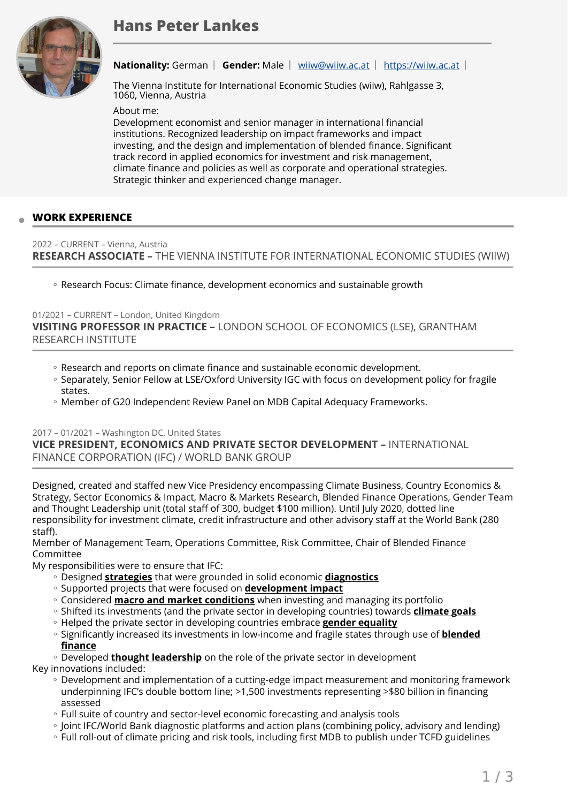# **Hans Peter Lankes**



**Nationality:** German | Gender: Male | [wiiw@wiiw.ac.at](mailto:wiiw@wiiw.ac.at) | <https://wiiw.ac.at> |

The Vienna Institute for International Economic Studies (wiiw), Rahlgasse 3, 1060, Vienna, Austria

About me:

Development economist and senior manager in international financial institutions. Recognized leadership on impact frameworks and impact investing, and the design and implementation of blended finance. Significant track record in applied economics for investment and risk management, climate finance and policies as well as corporate and operational strategies. Strategic thinker and experienced change manager.

#### **WORK EXPERIENCE**

#### 2022 – CURRENT – Vienna, Austria **RESEARCH ASSOCIATE –** THE VIENNA INSTITUTE FOR INTERNATIONAL ECONOMIC STUDIES (WIIW)

◦ Research Focus: Climate finance, development economics and sustainable growth

01/2021 – CURRENT – London, United Kingdom **VISITING PROFESSOR IN PRACTICE –** LONDON SCHOOL OF ECONOMICS (LSE), GRANTHAM RESEARCH INSTITUTE

- Research and reports on climate finance and sustainable economic development.
- Separately, Senior Fellow at LSE/Oxford University IGC with focus on development policy for fragile states.
- Member of G20 Independent Review Panel on MDB Capital Adequacy Frameworks.

#### 2017 – 01/2021 – Washington DC, United States

**VICE PRESIDENT, ECONOMICS AND PRIVATE SECTOR DEVELOPMENT –** INTERNATIONAL FINANCE CORPORATION (IFC) / WORLD BANK GROUP

Designed, created and staffed new Vice Presidency encompassing Climate Business, Country Economics & Strategy, Sector Economics & Impact, Macro & Markets Research, Blended Finance Operations, Gender Team and Thought Leadership unit (total staff of 300, budget \$100 million). Until July 2020, dotted line responsibility for investment climate, credit infrastructure and other advisory staff at the World Bank (280 staff).

Member of Management Team, Operations Committee, Risk Committee, Chair of Blended Finance Committee

My responsibilities were to ensure that IFC:

- Designed **strategies** that were grounded in solid economic **diagnostics** ◦
- Supported projects that were focused on **<u>development impact</u>**
- Considered **<u>macro and market conditions</u>** when investing and managing its portfolio
- Shifted its investments (and the private sector in developing countries) towards **<u>climate goals</u>**
- Helped the private sector in developing countries embrace **gender equality**
- Significantly increased its investments in low-income and fragile states through use of **<u>blended</u> finance**

◦ Developed **<u>thought leadership</u>** on the role of the private sector in development

Key innovations included:

- Development and implementation of a cutting-edge impact measurement and monitoring framework underpinning IFC's double bottom line; >1,500 investments representing >\$80 billion in financing assessed
- Full suite of country and sector-level economic forecasting and analysis tools ◦
- Joint IFC/World Bank diagnostic platforms and action plans (combining policy, advisory and lending) ◦
- Full roll-out of climate pricing and risk tools, including first MDB to publish under TCFD guidelines ◦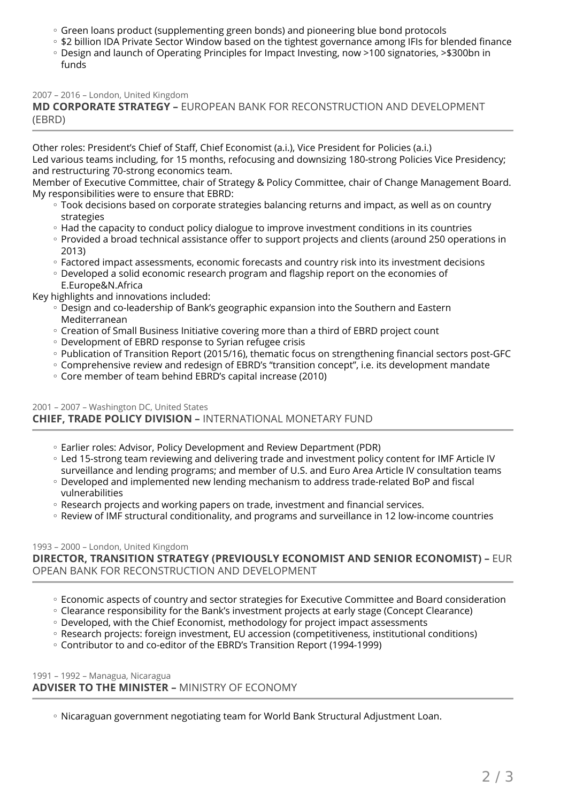- Green loans product (supplementing green bonds) and pioneering blue bond protocols
- \$2 billion IDA Private Sector Window based on the tightest governance among IFIs for blended finance
- Design and launch of Operating Principles for Impact Investing, now >100 signatories, >\$300bn in funds

2007 – 2016 – London, United Kingdom

**MD CORPORATE STRATEGY –** EUROPEAN BANK FOR RECONSTRUCTION AND DEVELOPMENT (EBRD)

Other roles: President's Chief of Staff, Chief Economist (a.i.), Vice President for Policies (a.i.) Led various teams including, for 15 months, refocusing and downsizing 180-strong Policies Vice Presidency; and restructuring 70-strong economics team.

Member of Executive Committee, chair of Strategy & Policy Committee, chair of Change Management Board. My responsibilities were to ensure that EBRD:

- Took decisions based on corporate strategies balancing returns and impact, as well as on country strategies
- Had the capacity to conduct policy dialogue to improve investment conditions in its countries
- Provided a broad technical assistance offer to support projects and clients (around 250 operations in 2013)
- Factored impact assessments, economic forecasts and country risk into its investment decisions
- Developed a solid economic research program and flagship report on the economies of E.Europe&N.Africa

Key highlights and innovations included:

- Design and co-leadership of Bank's geographic expansion into the Southern and Eastern Mediterranean
- Creation of Small Business Initiative covering more than a third of EBRD project count
- Development of EBRD response to Syrian refugee crisis ◦
- Publication of Transition Report (2015/16), thematic focus on strengthening financial sectors post-GFC
- Comprehensive review and redesign of EBRD's "transition concept", i.e. its development mandate
- Core member of team behind EBRD's capital increase (2010) ◦

## 2001 – 2007 – Washington DC, United States **CHIEF, TRADE POLICY DIVISION –** INTERNATIONAL MONETARY FUND

- Earlier roles: Advisor, Policy Development and Review Department (PDR) ◦
- Led 15-strong team reviewing and delivering trade and investment policy content for IMF Article IV ◦
- surveillance and lending programs; and member of U.S. and Euro Area Article IV consultation teams ◦ Developed and implemented new lending mechanism to address trade-related BoP and fiscal vulnerabilities
- Research projects and working papers on trade, investment and financial services.
- Review of IMF structural conditionality, and programs and surveillance in 12 low-income countries

#### 1993 – 2000 – London, United Kingdom

**DIRECTOR, TRANSITION STRATEGY (PREVIOUSLY ECONOMIST AND SENIOR ECONOMIST) –** EUR OPEAN BANK FOR RECONSTRUCTION AND DEVELOPMENT

- Economic aspects of country and sector strategies for Executive Committee and Board consideration
- Clearance responsibility for the Bank's investment projects at early stage (Concept Clearance)
- Developed, with the Chief Economist, methodology for project impact assessments
- Research projects: foreign investment, EU accession (competitiveness, institutional conditions)
- Contributor to and co-editor of the EBRD's Transition Report (1994-1999) ◦

1991 – 1992 – Managua, Nicaragua **ADVISER TO THE MINISTER –** MINISTRY OF ECONOMY

Nicaraguan government negotiating team for World Bank Structural Adjustment Loan. ◦